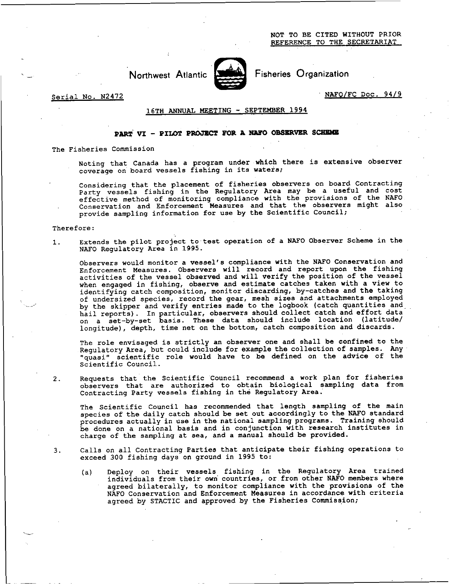NOT TO BE CITED WITHOUT PRIOR REFERENCE TO THE SECRETARIAT

Northwest Atlantic

Fisheries Organization

Serial No. N2472 NAFO/FC Doc. 94/9

## 16TH ANNUAL MEETING - SEPTEMBER 1994

## **PART. VI - PILOT PROJECT FOR A NAFO OBSERVER SCHEME**

The Fisheries Commission

Noting that Canada has a program under which there is extensive observer coverage on board vessels fishing in its waters;

Considering that the placement of fisheries observers on board Contracting Party vessels fishing in the Regulatory Area may be a useful and cost effective method of monitoring compliance with the provisions of the NAFO Conservation and Enforcement Measures and that the observers might also provide sampling information for use by the Scientific Council;

## <sup>T</sup>herefore:

1. Extends the pilot project to test operation of a NAFO Observer Scheme in the NAFO Regulatory Area in 1995.

Observers would monitor a vessel's compliance with the NAFO Conservation and Enforcement Measures. Observers will record and report upon the fishing activities of the vessel observed and will verify the position of the vessel when engaged in fishing, observe and estimate catches taken with a view to identifying catch composition, monitor discarding, by-catches and the taking of undersized species, record the gear, mesh sizes and attachments employed by the skipper and verify entries made to the logbook (catch quantities and hail reports). In particular, observers should collect catch and effort data on a set-by-set basis. These data should include location (latitude/ longitude), depth, time net on the bottom, catch composition and discards.

The role envisaged is strictly an observer one and shall be confined to the Regulatory Area, but could include for example the collection of samples. Any "quasi" scientific role would have to be defined on the advice of the Scientific Council.

2. Requests that the Scientific Council recommend a work plan for fisheries observers that are authorized to obtain biological sampling data from Contracting Party vessels fishing in the Regulatory Area.

The Scientific Council has recommended that length sampling of the main species of the daily catch should be set out accordingly to the NAFO standard procedures actually in use in the national sampling programs. Training should be done on a national basis and in conjunction with research institutes in charge of the sampling at sea, and a manual should be provided.

- 3. Calls on all Contracting Parties that anticipate their fishing operations to exceed 300 fishing days on ground in 1995 to:
	- (a) Deploy on their vessels fishing in the Regulatory Area trained individuals from their own countries, or from other NAFO members where agreed bilaterally, to monitor compliance with the provisions of the NAFO Conservation and Enforcement Measures in accordance with criteria agreed by STACTIC and approved by the Fisheries Commission;